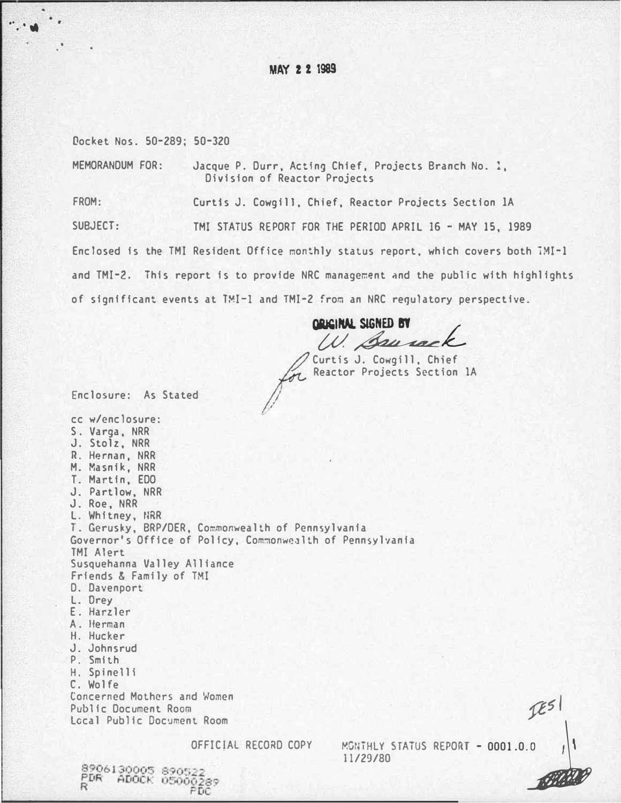# **MAY 2 2 1989**

Docket Nos. 50-289: 50-320

. . .. "

> MEMORANDUM FOR: Jacque P. Durr. Acting Chief, Projects Branch No. !, Division of Reactor Projects

FROM: Curtis J. Cowgill, Chief, Reactor Projects Section lA

SUBJECT: TMI STATUS REPORT FOR THE PERIOD APRIL 16 - MAY 15, 1989

Enclosed is the TMI Resident Office monthly status report, which covers both iMI-1 and TMI-2. This report is to provide NRC management and the public with highlights of significant events at TMI-1 and TMI-2 from an NRC regulatory perspective.

QRICINAL SIGNED BY W. Sauvac.

For Reactor Projects Section Reactor Projects Section 1A

Enclosure: As Stated

8906130005 890522 PDR ADOCK 05000289<br>PDR ADOCK 05000289<br>PDC

cc w/enclosure: S. Varga, NRR J. Stolz, NRR R. Hernan, NRR M. Masnik, NRR T. Martin, EDO J. Partlow, NRR J. Roe, NRR L. Whitney, tlRR T. Gerusky, BRP/DER, Commonwealth of Pennsylvania Governor's Office of Policy, Com�onwealth of Pennsylvania TMI Alert Susquehanna Valley Alliance Friends & Family of TMI D. Davenport L. Orey E. Harzler A. Herman H. Hucker J. Johnsrud P. Smith H. Spinelli C. Wolfe toncerned Mothers and Women Public Document Room Local Public Document Room

OFFICIAL RECORD COPY MONTHLY STATUS REPORT - 0001.0.0 11/29/80  $-0001.0.0$   $|$ 

 $IES$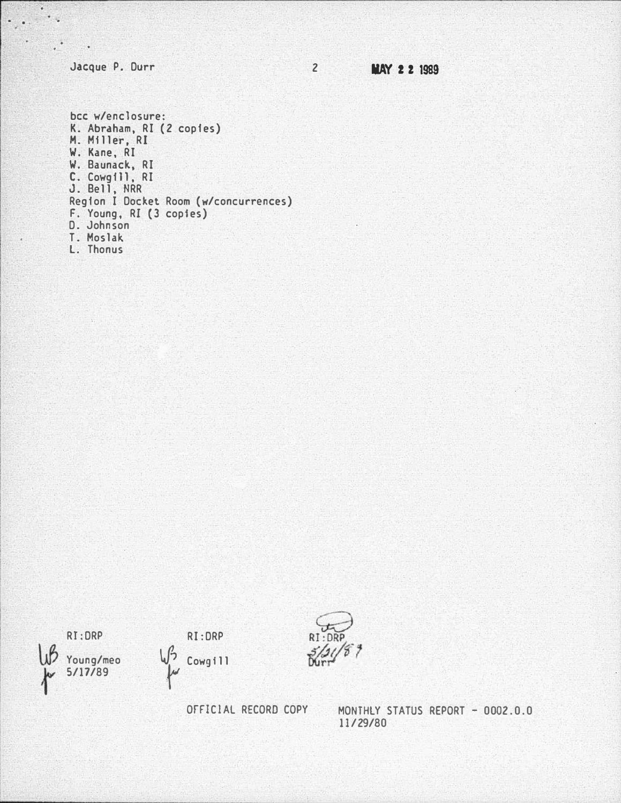Jacque P. Durr

 $\blacksquare$  .

. .

**INAY 2 2 1989** 

2

bee w/enclosure: K. Abrdham, RI (2 copies) M. Miller, RI W. Kane, RI W. Baunack, RI L. Lowg ii, KI J. Bell, NRR Region I Docket Room (w/concurrences) F. Young, RI (3 copies) D. Johnson T. Mos lak. l. Thonus

RJ:DRP







OrFICIAL RECORD COPY MONTHLY STATUS REPORT -0002 .0 .0 11/29/80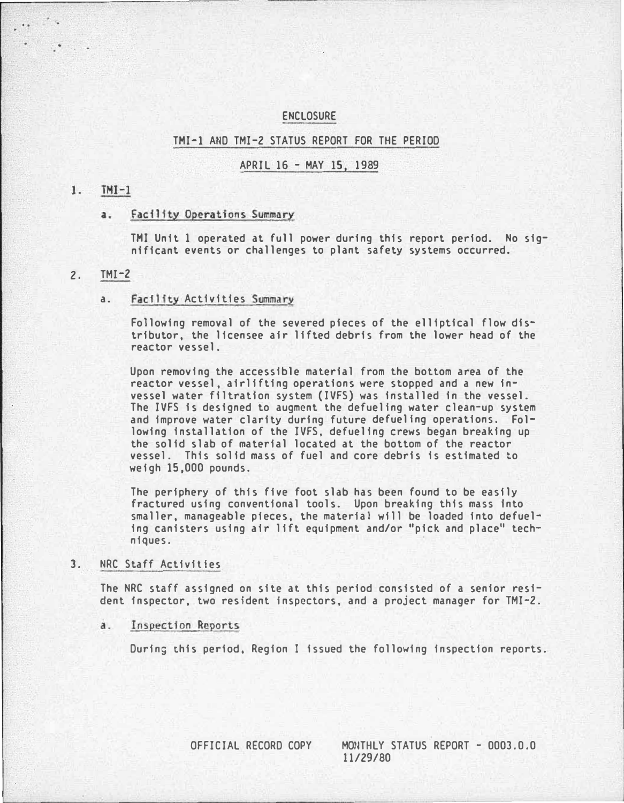## ENCLOSURE

#### THI-1 AND TMI-2 STATUS REPORT FOR THE PERIOD

## APRIL 16 - MAY 15, 1989

#### $TMI-1$  $1.$

#### a. Facility Operations Summary

--------------- -----

THI Unit 1 operated at full power during this report period. No significant events or challenges to plant safety systems occurred.

### 2. TMI-2

#### a. Facility Activities Summary

Following removal of the severed pieces of the elliptical flow distributor, the licensee air lifted debris from the lower head of the reactor vessel.

Upon removing the accessible material from the bottom area of the reactor vessel, airlifting operations were stopped and a new invessel water filtration system (IVFS) was installed in the vessel. The IVFS is designed to augment the defueling water clean-up system and improve water clarity during future defuellng operations. Following installation of the IVFS, defueling crews began breaking up the solid slab of material located at the bottom of the reactor vessel. This solid mass of fuel and core debris is estimated to weigh 15,000 pounds.

The periphery of this five foot slab has been found to be easily fractured using conventional tools. Upon breaking this mass Into smaller, manageable pieces, the material will be loaded into defueling canisters using air lift equipment and/or "pick and place" techniques. ·

# 3. NRC Staff Activities

The NRC staff assigned on site at this period consisted of a senior resident inspector, two resident inspectors, and a project manager for TMI-2.

a. Inspection Reports

During this period, Region I issued the following inspection reports.

OFFICIAL RECORD COPY MO�THLY STATUS REPORT - 0003.0.0 11/29/80